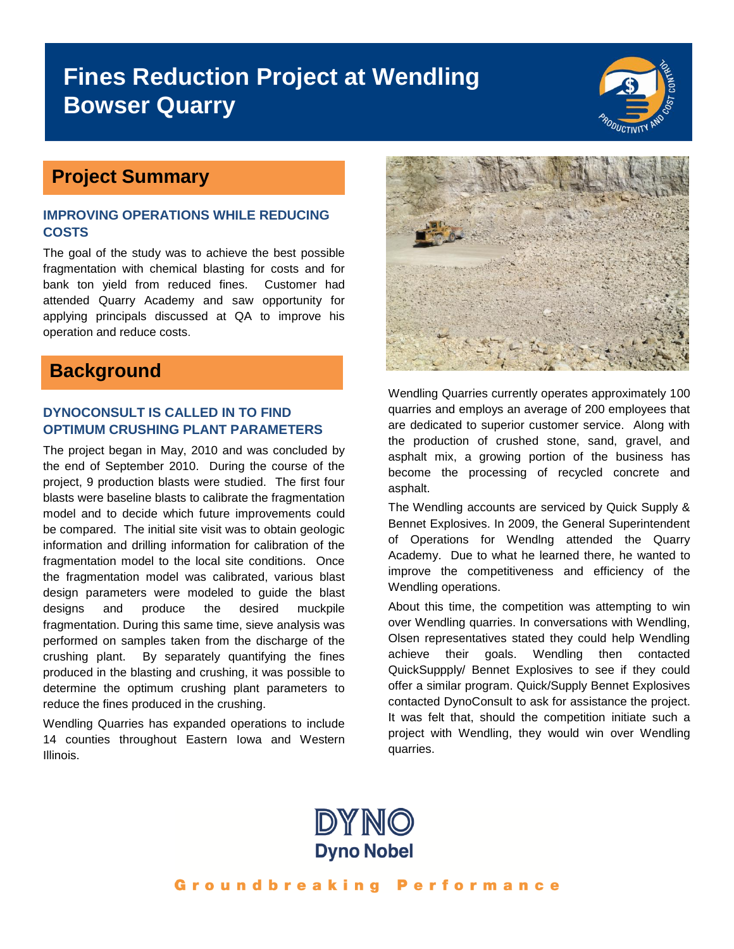## **Fines Reduction Project at Wendling Bowser Quarry**



### **Project Summary**

#### **IMPROVING OPERATIONS WHILE REDUCING COSTS**

The goal of the study was to achieve the best possible fragmentation with chemical blasting for costs and for bank ton yield from reduced fines. Customer had attended Quarry Academy and saw opportunity for applying principals discussed at QA to improve his operation and reduce costs.

### **Background**

#### **DYNOCONSULT IS CALLED IN TO FIND OPTIMUM CRUSHING PLANT PARAMETERS**

The project began in May, 2010 and was concluded by the end of September 2010. During the course of the project, 9 production blasts were studied. The first four blasts were baseline blasts to calibrate the fragmentation model and to decide which future improvements could be compared. The initial site visit was to obtain geologic information and drilling information for calibration of the fragmentation model to the local site conditions. Once the fragmentation model was calibrated, various blast design parameters were modeled to guide the blast designs and produce the desired muckpile fragmentation. During this same time, sieve analysis was performed on samples taken from the discharge of the crushing plant. By separately quantifying the fines produced in the blasting and crushing, it was possible to determine the optimum crushing plant parameters to reduce the fines produced in the crushing.

Wendling Quarries has expanded operations to include 14 counties throughout Eastern Iowa and Western Illinois.



Wendling Quarries currently operates approximately 100 quarries and employs an average of 200 employees that are dedicated to superior customer service. Along with the production of crushed stone, sand, gravel, and asphalt mix, a growing portion of the business has become the processing of recycled concrete and asphalt.

The Wendling accounts are serviced by Quick Supply & Bennet Explosives. In 2009, the General Superintendent of Operations for Wendlng attended the Quarry Academy. Due to what he learned there, he wanted to improve the competitiveness and efficiency of the Wendling operations.

About this time, the competition was attempting to win over Wendling quarries. In conversations with Wendling, Olsen representatives stated they could help Wendling achieve their goals. Wendling then contacted QuickSuppply/ Bennet Explosives to see if they could offer a similar program. Quick/Supply Bennet Explosives contacted DynoConsult to ask for assistance the project. It was felt that, should the competition initiate such a project with Wendling, they would win over Wendling quarries.